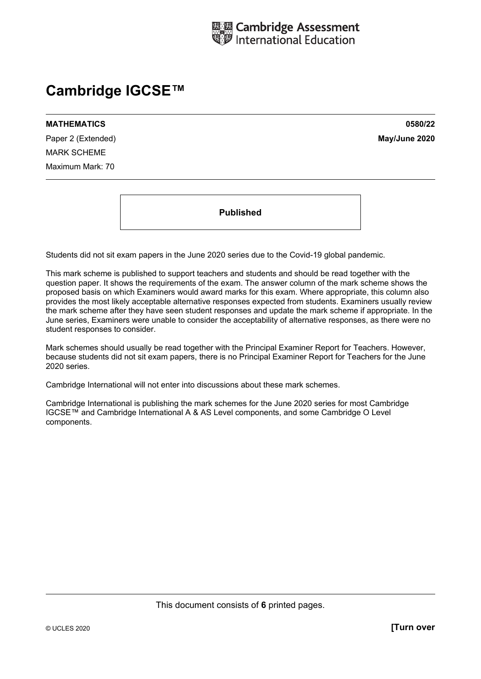

# **Cambridge IGCSE™**

**MATHEMATICS 0580/22** 

Paper 2 (Extended) **May/June 2020** MARK SCHEME Maximum Mark: 70

**Published** 

Students did not sit exam papers in the June 2020 series due to the Covid-19 global pandemic.

This mark scheme is published to support teachers and students and should be read together with the question paper. It shows the requirements of the exam. The answer column of the mark scheme shows the proposed basis on which Examiners would award marks for this exam. Where appropriate, this column also provides the most likely acceptable alternative responses expected from students. Examiners usually review the mark scheme after they have seen student responses and update the mark scheme if appropriate. In the June series, Examiners were unable to consider the acceptability of alternative responses, as there were no student responses to consider.

Mark schemes should usually be read together with the Principal Examiner Report for Teachers. However, because students did not sit exam papers, there is no Principal Examiner Report for Teachers for the June 2020 series.

Cambridge International will not enter into discussions about these mark schemes.

Cambridge International is publishing the mark schemes for the June 2020 series for most Cambridge IGCSE™ and Cambridge International A & AS Level components, and some Cambridge O Level components.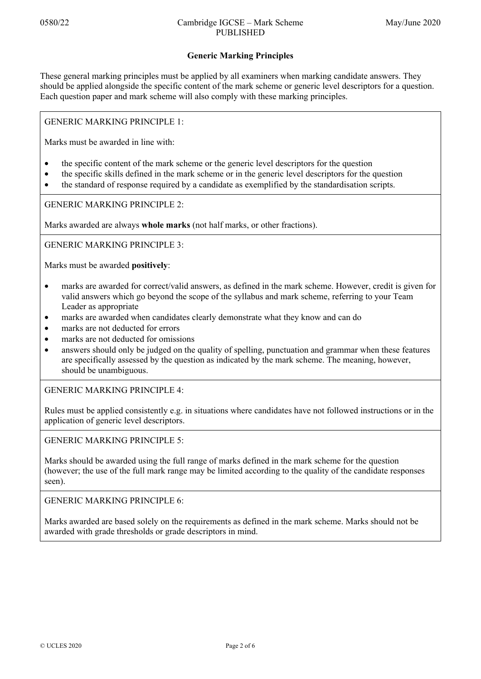## **Generic Marking Principles**

These general marking principles must be applied by all examiners when marking candidate answers. They should be applied alongside the specific content of the mark scheme or generic level descriptors for a question. Each question paper and mark scheme will also comply with these marking principles.

GENERIC MARKING PRINCIPLE 1:

Marks must be awarded in line with:

- the specific content of the mark scheme or the generic level descriptors for the question
- the specific skills defined in the mark scheme or in the generic level descriptors for the question
- the standard of response required by a candidate as exemplified by the standardisation scripts.

GENERIC MARKING PRINCIPLE 2:

Marks awarded are always **whole marks** (not half marks, or other fractions).

GENERIC MARKING PRINCIPLE 3:

Marks must be awarded **positively**:

- marks are awarded for correct/valid answers, as defined in the mark scheme. However, credit is given for valid answers which go beyond the scope of the syllabus and mark scheme, referring to your Team Leader as appropriate
- marks are awarded when candidates clearly demonstrate what they know and can do
- marks are not deducted for errors
- marks are not deducted for omissions
- answers should only be judged on the quality of spelling, punctuation and grammar when these features are specifically assessed by the question as indicated by the mark scheme. The meaning, however, should be unambiguous.

GENERIC MARKING PRINCIPLE 4:

Rules must be applied consistently e.g. in situations where candidates have not followed instructions or in the application of generic level descriptors.

GENERIC MARKING PRINCIPLE 5:

Marks should be awarded using the full range of marks defined in the mark scheme for the question (however; the use of the full mark range may be limited according to the quality of the candidate responses seen).

GENERIC MARKING PRINCIPLE 6:

Marks awarded are based solely on the requirements as defined in the mark scheme. Marks should not be awarded with grade thresholds or grade descriptors in mind.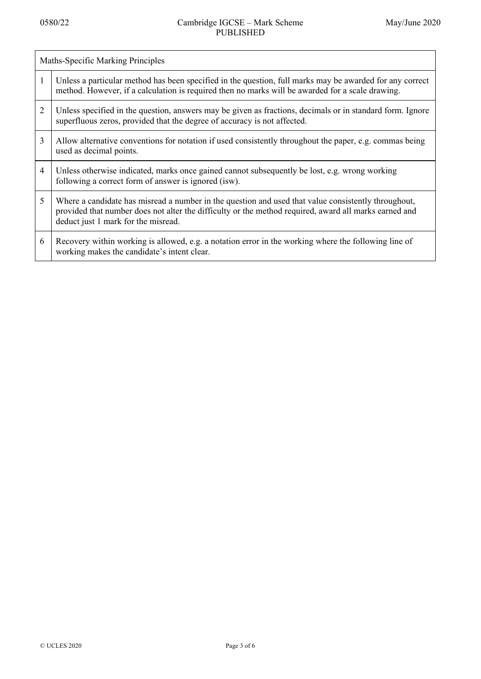| Maths-Specific Marking Principles |                                                                                                                                                                                                                                                     |  |  |
|-----------------------------------|-----------------------------------------------------------------------------------------------------------------------------------------------------------------------------------------------------------------------------------------------------|--|--|
| 1                                 | Unless a particular method has been specified in the question, full marks may be awarded for any correct<br>method. However, if a calculation is required then no marks will be awarded for a scale drawing.                                        |  |  |
| $\overline{2}$                    | Unless specified in the question, answers may be given as fractions, decimals or in standard form. Ignore<br>superfluous zeros, provided that the degree of accuracy is not affected.                                                               |  |  |
| 3                                 | Allow alternative conventions for notation if used consistently throughout the paper, e.g. commas being<br>used as decimal points.                                                                                                                  |  |  |
| 4                                 | Unless otherwise indicated, marks once gained cannot subsequently be lost, e.g. wrong working<br>following a correct form of answer is ignored (isw).                                                                                               |  |  |
| 5                                 | Where a candidate has misread a number in the question and used that value consistently throughout,<br>provided that number does not alter the difficulty or the method required, award all marks earned and<br>deduct just 1 mark for the misread. |  |  |
| 6                                 | Recovery within working is allowed, e.g. a notation error in the working where the following line of<br>working makes the candidate's intent clear.                                                                                                 |  |  |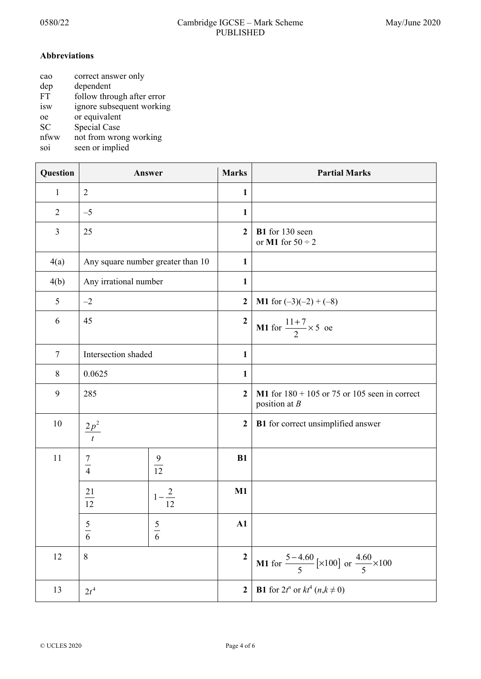## **Abbreviations**

| cao       | correct answer only        |
|-----------|----------------------------|
|           |                            |
| dep       | dependent                  |
| FT        | follow through after error |
| isw       | ignore subsequent working  |
| oe        | or equivalent              |
| SC        | Special Case               |
| $n$ fiyay | not from wrong working     |

nfww not from wrong working soi seen or implied

| Question       | Answer                            |                    | <b>Marks</b>     | <b>Partial Marks</b>                                               |
|----------------|-----------------------------------|--------------------|------------------|--------------------------------------------------------------------|
| $\mathbf{1}$   | $\overline{2}$                    |                    | $\mathbf{1}$     |                                                                    |
| $\overline{2}$ | $-5$                              |                    | $\mathbf{1}$     |                                                                    |
| $\overline{3}$ | 25                                |                    | $\overline{2}$   | B1 for 130 seen<br>or M1 for $50 \div 2$                           |
| 4(a)           | Any square number greater than 10 |                    | $\mathbf{1}$     |                                                                    |
| 4(b)           | Any irrational number             |                    | $\mathbf{1}$     |                                                                    |
| 5              | $-2$                              |                    | $\boldsymbol{2}$ | <b>M1</b> for $(-3)(-2) + (-8)$                                    |
| 6              | 45                                |                    | $\boldsymbol{2}$ | <b>M1</b> for $\frac{11+7}{2} \times 5$ oe                         |
| $\tau$         | Intersection shaded               |                    | $\mathbf{1}$     |                                                                    |
| 8              | 0.0625                            |                    | $\mathbf{1}$     |                                                                    |
| 9              | 285                               |                    | $\boldsymbol{2}$ | M1 for $180 + 105$ or 75 or 105 seen in correct<br>position at $B$ |
| 10             | $\frac{2p^2}{t}$                  |                    | $\mathbf{2}$     | <b>B1</b> for correct unsimplified answer                          |
| 11             | $\tau$<br>$\frac{1}{4}$           | $\frac{9}{12}$     | B1               |                                                                    |
|                | $\frac{21}{12}$                   | $1 - \frac{2}{12}$ | M1               |                                                                    |
|                | $\frac{5}{6}$                     | $\frac{5}{6}$      | ${\bf A1}$       |                                                                    |
| 12             | 8                                 |                    | $\boldsymbol{2}$ | <b>M1</b> for $\frac{5-4.60}{5}$ [×100] or $\frac{4.60}{5}$ ×100   |
| 13             | $2t^4$                            |                    | $\mathbf{2}$     | <b>B1</b> for $2t^n$ or $kt^4$ $(n, k \neq 0)$                     |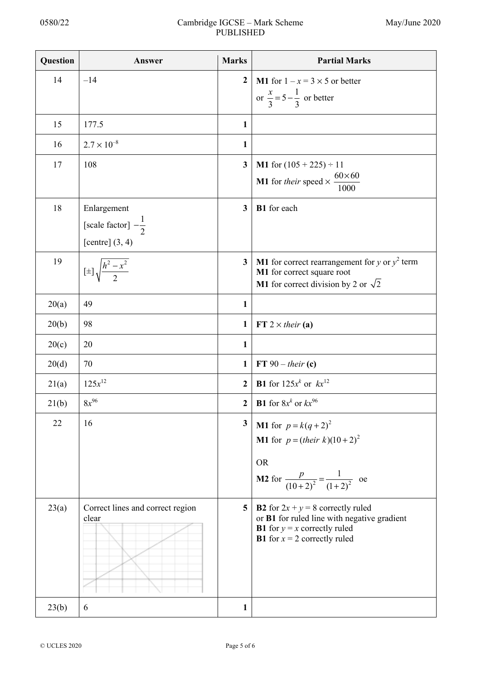### 0580/22 Cambridge IGCSE – Mark Scheme PUBLISHED

| Question | Answer                                    | <b>Marks</b>            | <b>Partial Marks</b>                                                                                                                                                        |
|----------|-------------------------------------------|-------------------------|-----------------------------------------------------------------------------------------------------------------------------------------------------------------------------|
| 14       | $-14$                                     | $\boldsymbol{2}$        | <b>M1</b> for $1 - x = 3 \times 5$ or better                                                                                                                                |
|          |                                           |                         | or $\frac{x}{3} = 5 - \frac{1}{3}$ or better                                                                                                                                |
| 15       | 177.5                                     | $\mathbf{1}$            |                                                                                                                                                                             |
| 16       | $2.7 \times 10^{-8}$                      | $\mathbf{1}$            |                                                                                                                                                                             |
| 17       | 108                                       | $\mathbf{3}$            | <b>M1</b> for $(105 + 225) \div 11$                                                                                                                                         |
|          |                                           |                         | <b>M1</b> for <i>their</i> speed $\times \frac{60 \times 60}{1000}$                                                                                                         |
| 18       | Enlargement                               | $\overline{\mathbf{3}}$ | B1 for each                                                                                                                                                                 |
|          | [scale factor] $-\frac{1}{2}$             |                         |                                                                                                                                                                             |
|          | [centre] $(3, 4)$                         |                         |                                                                                                                                                                             |
| 19       | $[\pm] \sqrt{\frac{h^2 - x^2}{2}}$        | $\mathbf{3}$            | <b>M1</b> for correct rearrangement for y or $y^2$ term                                                                                                                     |
|          |                                           |                         | M1 for correct square root<br><b>M1</b> for correct division by 2 or $\sqrt{2}$                                                                                             |
| 20(a)    | 49                                        | $\mathbf{1}$            |                                                                                                                                                                             |
| 20(b)    | 98                                        | $\mathbf{1}$            | FT $2 \times$ their (a)                                                                                                                                                     |
| 20(c)    | 20                                        | 1                       |                                                                                                                                                                             |
| 20(d)    | 70                                        | $\mathbf{1}$            | FT 90 – their $(c)$                                                                                                                                                         |
| 21(a)    | $125x^{12}$                               | $\overline{2}$          | <b>B1</b> for $125x^{k}$ or $kx^{12}$                                                                                                                                       |
| 21(b)    | $8x^{96}$                                 | $\boldsymbol{2}$        | <b>B1</b> for $8x^k$ or $kx^{96}$                                                                                                                                           |
| 22       | 16                                        | $\mathbf{3}$            | <b>M1</b> for $p = k(q + 2)^2$                                                                                                                                              |
|          |                                           |                         | <b>M1</b> for $p = (their k)(10+2)^2$                                                                                                                                       |
|          |                                           |                         | <b>OR</b>                                                                                                                                                                   |
|          |                                           |                         | <b>M2</b> for $\frac{p}{(10+2)^2} = \frac{1}{(1+2)^2}$ oe                                                                                                                   |
| 23(a)    | Correct lines and correct region<br>clear | 5 <sup>5</sup>          | <b>B2</b> for $2x + y = 8$ correctly ruled<br>or B1 for ruled line with negative gradient<br><b>B1</b> for $y = x$ correctly ruled<br><b>B1</b> for $x = 2$ correctly ruled |
| 23(b)    | 6                                         | 1                       |                                                                                                                                                                             |